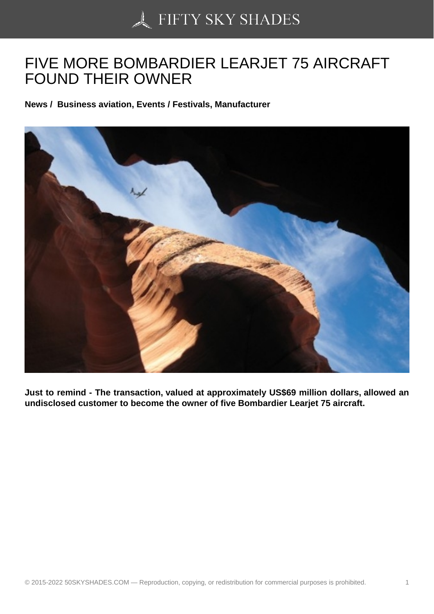## [FIVE MORE BOMBAR](https://50skyshades.com)DIER LEARJET 75 AIRCRAFT FOUND THEIR OWNER

News / Business aviation, Events / Festivals, Manufacturer

Just to remind - The transaction, valued at approximately US\$69 million dollars, allowed an undisclosed customer to become the owner of five Bombardier Learjet 75 aircraft.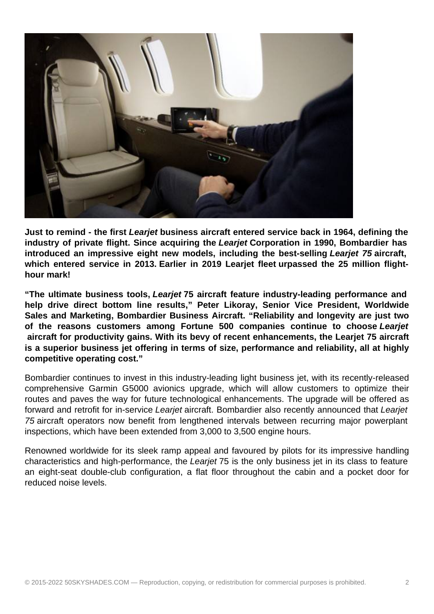

**Just to remind - the first Learjet business aircraft entered service back in 1964, defining the industry of private flight. Since acquiring the Learjet Corporation in 1990, Bombardier has introduced an impressive eight new models, including the best-selling Learjet 75 aircraft, which entered service in 2013. Earlier in 2019 Learjet fleet urpassed the 25 million flighthour mark!**

**"The ultimate business tools, Learjet 75 aircraft feature industry-leading performance and help drive direct bottom line results," Peter Likoray, Senior Vice President, Worldwide Sales and Marketing, Bombardier Business Aircraft. "Reliability and longevity are just two of the reasons customers among Fortune 500 companies continue to choose Learjet aircraft for productivity gains. With its bevy of recent enhancements, the Learjet 75 aircraft is a superior business jet offering in terms of size, performance and reliability, all at highly competitive operating cost."**

Bombardier continues to invest in this industry-leading light business jet, with its recently-released comprehensive Garmin G5000 avionics upgrade, which will allow customers to optimize their routes and paves the way for future technological enhancements. The upgrade will be offered as forward and retrofit for in-service Learjet aircraft. Bombardier also recently announced that Learjet 75 aircraft operators now benefit from lengthened intervals between recurring major powerplant inspections, which have been extended from 3,000 to 3,500 engine hours.

Renowned worldwide for its sleek ramp appeal and favoured by pilots for its impressive handling characteristics and high-performance, the Learjet 75 is the only business jet in its class to feature an eight-seat double-club configuration, a flat floor throughout the cabin and a pocket door for reduced noise levels.